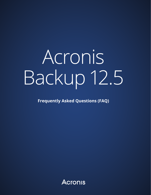# Acronis Backup 12.5

**Frequently Asked Questions (FAQ)**

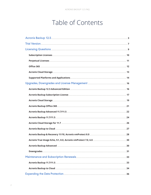# Table of Contents

<span id="page-1-0"></span>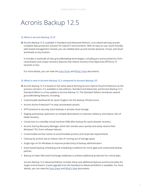# <span id="page-2-0"></span>Acronis Backup 12.5

#### **Q: What is Acronis Backup 12.5?**

**A:** Acronis Backup 12.5, available in Standard and Advanced Editions, is an award-winning, proven, complete data protection solution for hybrid IT environments. With an easy-to-use, touch-friendly, web-based management console, you can reliably back up and recover physical, virtual, and cloud workloads at any location.

It includes a multitude of new, groundbreaking technologies, including pro-active protection from ransomware and unique recovery features that reduce recovery time objectives (RTOs) to 15 seconds or less.

For more details, you can view the [Data Sheet](http://www.acronis.com/en-us/resource-center/resource/acronis-backup-datasheet/) and [What's New](http://www.acronis.com/en-us/resource-center/resource/acronis-backup-whatsnew/) documents.

#### **Q: What is new in Acronis Backup 12.5 compared to Acronis Backup 12?**

- **A:** Acronis Backup 12.5 is based on the same award-winning Acronis Hybrid Cloud Architecture as the previous versions. It is available in two editions, Standard and Advanced, and Acronis Backup 12.5 Standard Edition is a free update to Acronis Backup 12. The Standard Edition introduces several groundbreaking features, including:
- **•** Customizable dashboards for quick insights into the backup infrastructure
- **•** Acronis Active Protection™ to stop ransomware attacks
- **•** SFTP protocol to securely store backups in private cloud storage
- **•** Staging and backup replication to multiple destinations to improve resiliency and reduce risks of failed recovery
- **•** Conversion to a standby virtual machine (VM) after backup for quick disaster recovery
- **•** Acronis Startup Recovery Manager, which lets remote users quickly and easily restore their Windows® PCs from software failures
- **•** Customizable archive names to accommodate process and corporate requirements
- **•** Cleanup by archive size to reduce risks of running out of storage space
- **•** Single sign-on for Windows to improve productivity of backup administrators
- **•** Event-based backup scheduling and scheduling conditions for more agile and customized backup policies
- **•** Backup of select Microsoft Exchange mailboxes to achieve additional protection for critical data

Acronis Backup 12.5 Advanced Edition includes these and additional features and functionality for larger environments. A paid upgrade from the Standard to Advanced Edition is available. For more details, you can view the **[Data Sheet](http://www.acronis.com/en-us/resource-center/resource/acronis-backup-datasheet/) and [What's New](http://www.acronis.com/en-us/resource-center/resource/acronis-backup-whatsnew/) documents.**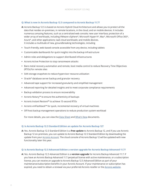#### **Q: What is new in Acronis Backup 12.5 compared to Acronis Backup 11.7?**

- **A:** Acronis Backup 12.5 is based on Acronis Hybrid Cloud Architecture and allows you to protect all the data that resides on-premises, in remote locations, in the cloud, and on mobile devices. It includes numerous amazing features, such as a centralized web console; new user interface; protection of a wider array of workloads, including VMware vSphere®, Microsoft Hyper-V®, Mac®, Microsoft Office 365®, Azure<sup>®</sup>, and other applications; IaaS cloud workloads; and mobile devices. It includes a multitude of new, groundbreaking technologies, including
- **•** Touch-friendly, web-based console accessible from any device, including tablets
- **•** Customizable dashboards for quick insights into the backup infrastructure
- **•** Admin roles and delegations to support distributed infrastructures
- **•** Acronis Active Protection to stop ransomware attacks
- **•** Bare-metal recovery automation and remote, boot media control to reduce Recovery Time Objectives (RTOs) for remote sites
- **•** SAN storage snapshots to reduce hypervisor resource utilization
- **•** Oracle® database server backup and granular recovery
- **•** Advanced tape support for increased granularity and simplified management
- **•** Advanced reporting for detailed insights and to meet corporate compliance requirements
- **•** Backup validation process to ensure recoverability
- **•** Acronis Notary™ to ensure the authenticity of backups
- **•** Acronis Instant Restore™ to achieve 15-second RTOs
- **•** Acronis vmFlashback™ for quick, incremental recovery of virtual machines
- **•** Off-host backup management operations to reduce production system workload

For more details, you can view the [Data Sheet](http://www.acronis.com/en-us/resource-center/resource/acronis-backup-datasheet/) and [What's New](http://www.acronis.com/en-us/resource-center/resource/acronis-backup-whatsnew/) documents.

#### **Q: Is Acronis Backup 12.5 Standard Edition an update for Acronis Backup 12?**

**A:** Yes. Acronis Backup 12.5 Standard Edition is a **free update** to Acronis Backup 12, and if you use Acronis Backup 12 on-premises, you can update to Acronis Backup 12.5 Standard Edition by downloading the update from your [Acronis Account.](https://account.acronis.com/) The cloud console of Acronis Backup 12 will be updated with new functionality later this year.

#### **Q: Is Acronis Backup 12.5 Advanced Edition a version upgrade for Acronis Backup Advanced 11.7?**

**A:** Yes. Acronis Backup 12.5 Advanced Edition is a **version upgrade** for Acronis Backup Advanced 11.7. If you have an Acronis Backup Advanced 11.7 perpetual license with active maintenance, or a subscription license, you can receive an upgrade to Acronis Backup 12.5 Advanced Edition as part of your maintenance/subscription benefits in your Acronis Account. If your maintenance or subscription has expired, you need to obtain a renewal via your preferred Acronis reseller or the [Acronis website](http://www.acronis.com/business/renewals/).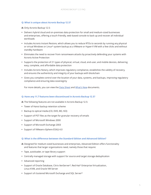#### **Q: What is unique about Acronis Backup 12.5?**

**A:** Only Acronis Backup 12.5:

- **•** Delivers hybrid cloud and on-premises data protection for small and medium-sized businesses and enterprises, offering a touch-friendly, web-based console to back up and recover all individual workloads
- **•** Includes Acronis Instant Restore, which allows you to reduce RTOs to seconds by running any physical or virtual Windows or Linux® system backup as a VMware or Hyper-V VM with a few clicks and without standby hardware
- **•** Eliminates the need to recover from ransomware attacks by proactively defending your systems with Acronis Active Protection
- **•** Supports the protection of 21 types of physical, virtual, cloud, end-user, and mobile devices, delivering easy, complete, and affordable data protection
- **•** Includes Acronis Notary, which improves regulatory compliance, establishes the validity of recovery, and ensures the authenticity and integrity of your backups with blockchain
- **•** Gives you complete control over the location of your data, systems, and backups, improving regulatory compliance and ensuring data sovereignty

For more details, you can view the **Data Sheet and [What's New](http://www.acronis.com/en-us/resource-center/resource/acronis-backup-whatsnew/) documents.** 

#### **Q: Have any 11.7 features been discontinued in Acronis Backup 12.5?**

**A:** The following features are not available in Acronis Backup 12.5:

- **•** Tower of Hanoi backup retention scheme
- **•** Backup to optical media (CD, DVD, BD, ISO)
- **•** Support of PST files as the target for granular recovery of emails
- **•** Support of Microsoft Windows 2000
- **•** Support of Microsoft Exchange 2003
- **•** Support of VMware vSphere ESX(i) 4.0

#### **Q: What is the difference between the Standard Edition and Advanced Edition?**

- **A:** Designed for medium-sized businesses and enterprises, Advanced Edition offers functionality and features that larger organizations need, namely those that require:
- **•** Tape, autoloader, or tape library support
- **•** Centrally managed storage with support for source and target storage deduplication
- **•** Advanced reporting
- **•** Support of Oracle Database, Citrix XenServer®, Red Hat® Enterprise Virtualization, Linux KVM, and Oracle VM Server
- **•** Support of clustered Microsoft Exchange and SQL Server®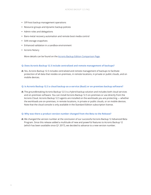- **•** Off-host backup management operations
- **•** Resource groups and dynamic backup policies
- **•** Admin roles and delegations
- **•** Bare-metal recovery automation and remote boot media control
- **•** SAN storage snapshots
- **•** Enhanced validation in a sandbox environment
- **•** Acronis Notary

More details can be found on the [Acronis Backup Edition Comparison Page](http://www.acronis.com/en-us/business/overview/compare-products/).

#### **Q: Does Acronis Backup 12.5 include centralized and remote management of backups?**

**A:** Yes, Acronis Backup 12.5 includes centralized and remote management of backups to facilitate protection of all data that resides on-premises, in remote locations, in private or public clouds, and on mobile devices.

#### **Q: Is Acronis Backup 12.5 a cloud backup-as-a-service (BaaS) or on-premises backup software?**

**A:** The groundbreaking Acronis Backup 12.5 is a hybrid backup solution and includes both cloud services and on-premises software. You can install Acronis Backup 12.5 on-premises or use directly from the Acronis Cloud. Acronis Backup 12.5 agents are installed on the workloads you are protecting — whether the workloads are on-premises, in remote locations, in private or public clouds, or on mobile devices. Note that the cloud console is only available in the Standard Edition subscription license.

#### **Q: Why was there a product version number changed from the Beta to the Release?**

**A:** We changed the version number at the conclusion of our successful Acronis Backup 12 Advanced Beta Program. Since this release added a multitude of new and powerful features to Acronis Backup 12 (which has been available since Q1 2017), we decided to advance to a new version number.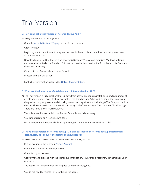# <span id="page-6-0"></span>Trial Version

#### **Q: How can I get a trial version of Acronis Backup 12.5?**

**A:** To try Acronis Backup 12.5, you can:

- **-** Open the [Acronis Backup 12.5 page](http://www.acronis.com/en-us/business/backup) on the Acronis website.
- **-** Click "Try Now."
- **-** Log in to your Acronis Account, or sign up for one. In the Acronis Account Products list, you will see Acronis Backup 12.5.
- **-** Download and install the trial version of Acronis Backup 12.5 on an on-premises Windows or Linux machine. Alternatively, the Standard Edition trial is available for evaluation from the Acronis Cloud – no download necessary.
- **-** Connect to the Acronis Management Console.
- **-** Proceed with the evaluation.

For further information, refer to the [Online Documentation.](http://www.acronis.com/en-us/support/documentation/AcronisBackup_12.5/#36537.html)

#### **Q: What are the limitations of a trial version of Acronis Backup 12.5?**

- **A:** The Trial version is fully functional for 30 days from activation. You can install an unlimited number of agents and use most every feature available in the Standard and Advanced Editions. You can evaluate the product on your physical and virtual systems, cloud applications (including Office 365), and mobile devices. The trial version also comes with a 30-day trial of one terabyte (TB) of Acronis Cloud Storage. There are some of the trial limitations:
- **-** The only operation available in the Acronis Bootable Media is recovery.
- **-** You cannot create an Acronis Secure Zone.
- **-** Disk management is only available as a preview; you cannot commit operations to disk.

#### **Q: I have a trial version of Acronis Backup 12.5 and purchased an Acronis Backup Subscription license. How do I convert the trial to the new license?**

**A:** To convert your trial version to a full subscription license, you can:

- **•** Register your new keys in your [Acronis Account.](https://account.acronis.com/)
- **•** Open the Acronis Management Console.
- **•** Open Settings->Licenses.
- **•** Click "Sync" and proceed with the license synchronization. Your Acronis Account will synchronize your new keys.
- **•** The licenses will be automatically assigned to the relevant agents.

You do not need to reinstall or reconfigure the agents.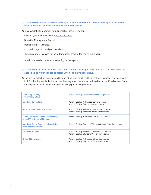#### **Q: I have a trial version of Acronis Backup 12.5 and purchased an Acronis Backup 12.5 perpetual license. How do I convert the trial to the new license?**

- **A:** To convert the trial version to full perpetual license, you can:
- **•** Register your new keys in your [Acronis Account](https://account.acronis.com/).
- **•** Open the Management Console.
- **•** Open Settings->Licenses.
- **•** Click "Add keys" and add your new keys.
- **•** The appropriate licenses will be automatically assigned to the relevant agents.

You do not need to reinstall or reconfigure the agents.

#### **Q: I have a few different licenses and the Acronis Backup agent installed as a trial. How does the agent decide which license to assign when I add my license keys?**

**A:** The license selection depends on the operating system where the agent was installed. The agent will look for the first available license, per the assignment sequence in the table below. If no licenses from the sequence are available, the agent will stop performing backups.

| <b>Operating System /</b><br><b>Hypervisor / Cloud</b>                                    | Acronis Backup License assignment sequence                                                   |
|-------------------------------------------------------------------------------------------|----------------------------------------------------------------------------------------------|
| <b>Windows Server, Linux</b>                                                              | Acronis Backup Advanced Server License<br>Acronis Backup Standard Server License             |
| <b>VMware ESX(i), Microsoft Hyper-V</b>                                                   | Acronis Backup Advanced Virtual Host License<br>Acronis Backup Standard Virtual Host License |
| <b>Citrix XenServer, Red Hat Virtualization.</b><br>Linux KVM, Oracle VM Server           | Acronis Backup Advanced Virtual Host License                                                 |
| <b>Windows Server Essentials<sup>®</sup>, Foundation,</b><br><b>Small Business Server</b> | Acronis Backup Standard Windows Server Essentials License                                    |
| <b>Windows PC, Mac</b>                                                                    | Acronis Backup Advanced Workstation License<br>Acronis Backup Standard Workstation License   |
| Office 365 mailboxes                                                                      | Acronis Backup Advanced Office 365 License<br>Acronis Backup Standard Office 365 License     |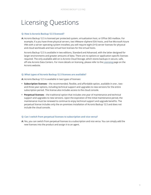# <span id="page-8-0"></span>Licensing Questions

#### **Q: How is Acronis Backup 12.5 licensed?**

**A:** Acronis Backup 12.5 is licensed per protected system, virtualization host, or Office 365 mailbox. For example, if a you have three physical servers, two VMware vSphere ESXi hosts, and five Microsoft Azure VMs with a server operating system installed, you will require eight (3+5) server licenses for physical and cloud workloads and two virtual host licenses for the virtual hosts.

Acronis Backup 12.5 is available in two editions, Standard and Advanced, with the latter designed for larger environments and greater amounts of data. There are no options or application-specific licenses required. The only available add-on is Acronis Cloud Storage, which stores backups in secure, safe, off-site Acronis Data Centers. For more details on licensing, please refer to the [Licensing](http://www.acronis.com/en-us/company/licensing.html) page on the Acronis website.

#### **Q: What types of Acronis Backup 12.5 licenses are available?**

**A:** Acronis Backup 12.5 is available in two types of licenses:

- **• Subscription licenses**  the recommended, flexible, and affordable option, available in one-, twoand three-year options, including technical support and upgrades to new versions for the entire subscription period. This license also includes access to the cloud console.
- **• Perpetual licenses** the traditional option that includes one year of maintenance and technical support and upgrades to new versions. Upon the expiration of the initial maintenance period, the maintenance must be renewed to continue to enjoy technical support and upgrade benefits. The perpetual license includes only the on-premises installation of Acronis Backup 12.5 and does not include the cloud console.

#### **Q: Can I switch from perpetual licenses to subscription and vice-versa?**

**A:** Yes, you can switch from perpetual licenses to a subscription and vice versa. You can simply add the new licenses into the product and assign it to an agent.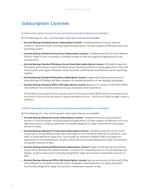# <span id="page-9-0"></span>**Subscription Licenses**

#### **Q: What subscription licenses for Acronis Backup Standard Edition are available?**

**A:** The following one-, two- and three-year subscription licenses are available:

- **• Acronis Backup Standard Server Subscription License:** Complete protection of your physical servers or cloud workloads, including supported applications. Includes support for Windows and Linux operating systems.
- **• Acronis Backup Standard Virtual Host Subscription License:** Complete protection of entire VMware ESX(i) or Hyper-V hosts, including an unlimited number of VMs and supported applications on the licensed hosts.
- **• Acronis Backup Standard Windows Server Essentials Subscription License:** Affordable image and file backup and recovery of entire Windows Server Essentials systems including applications. Note that these licenses only support Windows Server Essentials and Windows Small Business Server operating systems.
- **• Acronis Backup Standard Workstation Subscription License:** Image and file backup and recovery of entire Windows PCs/tablets and Mac computers for complete protection of user desktops and laptops.
- **• Acronis Backup Standard Office 365 Subscription License:** Backup and recovery of Microsoft Office 365 mailboxes for complete protection of your employees' email experience.

All Standard subscription licenses include access to the cloud console. Mobile devices are backed up to the Acronis Cloud and do not require a special per-device license — the Acronis Cloud Storage License is sufficient.

#### **Q: What subscription licenses for Acronis Backup Advanced Edition are available?**

**A:** The following one-, two- and three-year subscription licenses are available:

- **• Acronis Backup Advanced Server Subscription License:** Complete protection of your physical servers or cloud workloads, including supported applications. Includes support for Windows and Linux operating systems, as well as advanced functionality designed for larger environments and greater amounts of data.
- **• Acronis Backup Advanced Virtual Host Subscription License:** Complete protection of your entire virtual hosts running VMware ESX(i), Microsoft Hyper-V, Citrix XenServer, Red Hat Virtualization, Linux KVM, or Oracle VM Server hypervisor. This includes an unlimited number of VMs and supported applications on the licensed hosts, as well as advanced functionality designed for larger environments and greater amounts of data.
- **• Acronis Backup Advanced Workstation Subscription License:** Image and file backup and recovery of your entire Windows PCs/tablets and Mac computers for complete protection of user desktops and laptops, as well as advanced functionality designed for larger environments and greater amounts of data.
- **• Acronis Backup Advanced Office 365 Subscription License:** Backup and recovery of Microsoft Office 365 mailboxes for complete protection of your employees' email experience, as well as advanced functionality designed for larger environments and greater amounts of data.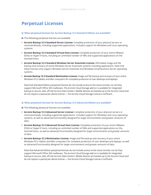# <span id="page-10-0"></span>**Perpetual Licenses**

#### **Q: What perpetual licenses for Acronis Backup 12.5 Standard Edition are available?**

**A:** The following perpetual licenses are available:

- **• Acronis Backup 12.5 Standard Server License:** Complete protection of your physical servers or cloud workloads, including supported applications. Includes support for Windows and Linux operating systems.
- **• Acronis Backup 12.5 Standard Virtual Host License:** Complete protection of your entire VMware ESX(i) or Hyper-V hosts, including an unlimited number of VMs and supported applications on the licensed hosts.
- **• Acronis Backup 12.5 Standard Windows Server Essentials License:** Affordable image and file backup and recovery of entire Windows Server Essentials systems including applications. Note that these licenses only support Windows Server Essentials and Windows Small Business Server operating systems.
- **• Acronis Backup 12.5 Standard Workstation License:** Image and file backup and recovery of your entire Windows PCs/ tablets and Mac computers for complete protection of user desktops and laptops.

Note that Standard Edition perpetual licenses do not include access to the cloud console, nor do they support Microsoft Office 365 mailboxes. The Acronis Cloud Storage add-on is available for integrated backup to secure, safe, off-site Acronis Data Centers. Mobile devices are backed up to the Acronis Cloud and do not require a special per-device license — the Acronis Cloud Storage License is sufficient.

#### **Q: What perpetual licenses for Acronis Backup 12.5 Advanced Edition are available?**

**A:** The following perpetual licenses are available:

- **• Acronis Backup 12.5 Advanced Server License:** Complete protection of your physical servers or cloud workloads, including supported applications. Includes support for Windows and Linux operating systems, as well as advanced functionality designed for larger environments and greater amounts of data.
- **• Acronis Backup 12.5 Advanced Virtual Host License:** Complete protection of your entire VMware ESX(i) or Hyper-V hosts, including an unlimited number of VMs and supported applications on the licensed hosts, as well as advanced functionality designed for larger environments and greater amounts of data.
- **• Acronis Backup 12.5 Workstation License:** Image and file backup and recovery of your entire Windows PCs/ tablets and Mac computers for complete protection of user desktops and laptops, as well as advanced functionality designed for larger environments and greater amounts of data.

Note that Advanced Edition perpetual licenses do not include access to the cloud console, nor do they support Microsoft Office 365 mailboxes. The Acronis Cloud Storage add-on is available for integrated backup to secure, safe, off-site Acronis Data Centers. Mobile devices are backed up to the Acronis Cloud and do not require a special per-device license — the Acronis Cloud Storage License is sufficient.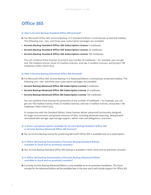# <span id="page-11-0"></span>**Office 365**

#### **Q: How is Acronis Backup Standard Office 365 licensed?**

- **A:** For Microsoft Office 365, Acronis Backup 12.5 Standard Edition is licensed per protected mailbox. The following one-, two- and three-year subscription packages are available:
- **• Acronis Backup Standard Office 365 Subscription License** 5 mailboxes
- **• Acronis Backup Standard Office 365 Subscription License** 25 mailboxes
- **• Acronis Backup Standard Office 365 Subscription License** 100 mailboxes

You can combine these licenses to protect any number of mailboxes – for example, you can get one 100-mailbox license, three 25-mailbox licenses, and two 5-mailbox licenses, and protect 185 mailboxes (100x1+25x3+5x2).

#### **Q: How is Acronis Backup Advanced Office 365 licensed?**

- **A:** For Microsoft Office 365, Acronis Backup 12.5 Advanced Edition is licensed per protected mailbox. The following one-, two- and three-year subscription packages are available:
- **• Acronis Backup Advanced Office 365 Subscription License** 5 mailboxes
- **• Acronis Backup Advanced Office 365 Subscription License** 25 mailboxes
- **• Acronis Backup Advanced Office 365 Subscription License** 100 mailboxes

You can combine these licenses for protection of any number of mailboxes – for example, you can get one 100-mailbox license, three 25-mailbox licenses, and two 5-mailbox licenses, and protect 185 mailboxes (100x1+25x3+5x2).

In comparison with the Standard Edition, these licenses deliver advanced functionality designed for larger environments and greater amounts of data, including advanced reporting, deduplicated centralized disk storage, tape storage support, admin roles and delegations, and more.

#### **Q: Is there a perpetual option available for Acronis Backup Standard Office 365 or Acronis Backup Advanced Office 365 licenses?**

**A:** No, an Acronis Backup license for protecting Microsoft Office 365 is available only as a subscription.

#### **Q: Is Office 365 backup functionality of Acronis Backup Standard Edition available in cloud and on-premises consoles?**

**A:** Yes, Acronis Backup Standard Office 365 backup is available in both cloud and on-premises consoles.

#### **Q: Is Office 365 backup functionality of Acronis Backup Advanced Edition available in cloud and on-premises consoles?**

**A:** Currently, Acronis Backup Advanced Edition is only available as an on-premises installation. The cloud console for the Advanced Edition will be available later in the year and it will include support for Office 365.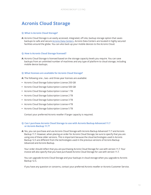# **Acronis Cloud Storage**

#### **Q: What is Acronis Cloud Storage?**

**A:** Acronis Cloud Storage is an easily accessed, integrated, off-site, backup storage option that saves backups to safe and secure [Acronis Data Centers.](http://www.acronis.com/en-us/cloud/data-centers/) Acronis Data Centers are located in highly secured facilities around the globe. You can also back up your mobile devices to the Acronis Cloud.

#### **Q: How is Acronis Cloud Storage licensed?**

**A:** Acronis Cloud Storage is licensed based on the storage capacity levels you require. You can save backups from an unlimited number of machines and any type of platform to cloud storage, including mobile device backups.

#### **Q: What licenses are available for Acronis Cloud Storage?**

**A:** The following one-, two- and three-year licenses are available:

- **•** Acronis Cloud Storage Subscription License 250 GB
- **•** Acronis Cloud Storage Subscription License 500 GB
- **•** Acronis Cloud Storage Subscription License 1 TB
- **•** Acronis Cloud Storage Subscription License 2 TB
- **•** Acronis Cloud Storage Subscription License 3 TB
- **•** Acronis Cloud Storage Subscription License 4 TB
- **•** Acronis Cloud Storage Subscription License 5 TB

Contact your preferred Acronis reseller if larger capacity is required.

#### **Q: Can I purchase Acronis Cloud Storage to use with Acronis Backup Advanced 11.7 or Acronis Backup 11.7?**

**A:** Yes, you can purchase and use Acronis Cloud Storage with Acronis Backup Advanced 11.7 and Acronis Backup 11.7. However, when placing an order for Acronis Cloud Storage, be sure to specify that you are using one of these older versions. This is important because the cloud technologies used in Acronis Backup 12.5 are different from the technologies used in the previous versions of Acronis Backup Advanced and Acronis Backup.

Your order should reflect that you are purchasing Acronis Cloud Storage for use with version 11.7. Your invoice will also specify that you have purchased Acronis Cloud Storage for use with version 11.7.

You can upgrade Acronis Cloud Storage and your backups in cloud storage when you upgrade to Acronis Backup 12.5.

If you have any question or concerns, contact your preferred Acronis reseller or Acronis Customer Service.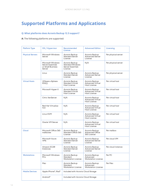# <span id="page-13-0"></span>**Supported Platforms and Applications**

#### **Q: What platforms does Acronis Backup 12.5 support?**

**A:** The following platforms are supported:

| <b>Platform Type</b>    | OS / Hypervisor                                                       | <b>Recommended</b><br>License                                                    | <b>Advanced Edition</b>                                          | Licensing           |
|-------------------------|-----------------------------------------------------------------------|----------------------------------------------------------------------------------|------------------------------------------------------------------|---------------------|
| <b>Physical Servers</b> | Microsoft Windows<br>Server                                           | Acronis Backup<br><b>Standard Server</b><br>License                              | Acronis Backup<br><b>Advanced Server</b><br>License              | Per physical server |
|                         | Microsoft Windows<br>Server Essentials<br>or Small Business<br>Server | Acronis Backup<br><b>Standard Windows</b><br><b>Server Essentials</b><br>License | N/A                                                              | Per physical server |
|                         | Linux                                                                 | Acronis Backup<br><b>Standard Server</b><br>License                              | Acronis Backup<br><b>Advanced Server</b><br>License              | Per physical server |
| <b>Virtual Hosts</b>    | <b>VMware vSphere</b><br>ESX(i)                                       | Acronis Backup<br><b>Standard Virtual</b><br>Host License                        | Acronis Backup<br><b>Advanced Virtual</b><br>Host License        | Per virtual host    |
|                         | Microsoft Hyper-V                                                     | Acronis Backup<br><b>Standard Virtual</b><br><b>Host License</b>                 | Acronis Backup<br><b>Advanced Virtual</b><br><b>Host License</b> | Per virtual host    |
|                         | Citrix XenServer                                                      | N/A                                                                              | Acronis Backup<br><b>Advanced Virtual</b><br><b>Host License</b> | Per virtual host    |
|                         | Red Hat Virtualiza-<br>tion                                           | N/A                                                                              | Acronis Backup<br><b>Advanced Virtual</b><br><b>Host License</b> | Per virtual host    |
|                         | Linux KVM                                                             | N/A                                                                              | Acronis Backup<br><b>Advanced Virtual</b><br>Host License        | Per virtual host    |
|                         | Oracle VM Server                                                      | N/A                                                                              | Acronis Backup<br><b>Advanced Virtual</b><br><b>Host License</b> | Per virtual host    |
| <b>Cloud</b>            | Microsoft Office 365<br>mailboxes                                     | Acronis Backup<br>Standard Office 365<br>License                                 | Acronis Backup<br><b>Advanced Office</b><br>365 License          | Per mailbox         |
|                         | Microsoft Azure<br><b>VMs</b>                                         | Acronis Backup<br><b>Standard Server</b><br>License                              | Acronis Backup<br><b>Advanced Server</b><br>License              | Per cloud VM        |
|                         | Amazon EC2®<br>Instances                                              | Acronis Backup<br><b>Standard Server</b><br>License                              | Acronis Backup<br><b>Advanced Server</b><br>License              | Per cloud instance  |
| <b>Workstations</b>     | Microsoft Windows<br>PCs                                              | Acronis Backup<br>Standard<br><b>Workstation License</b>                         | Acronis Backup<br>Advanced<br><b>Workstation License</b>         | Per PC              |
|                         | Mac                                                                   | Acronis Backup<br>Standard<br><b>Workstation License</b>                         | Acronis Backup<br>Advanced<br><b>Workstation License</b>         | Per Mac             |
| <b>Mobile Devices</b>   | Apple iPhone®, iPad®                                                  | Included with Acronis Cloud Storage                                              |                                                                  |                     |
|                         | Android <sup>®</sup>                                                  | Included with Acronis Cloud Storage                                              |                                                                  |                     |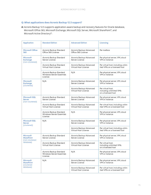#### **Q: What applications does Acronis Backup 12.5 support?**

**A:** Acronis Backup 12.5 supports application-aware backup and recovery features for Oracle database, Microsoft Office 365, Microsoft Exchange, Microsoft SQL Server, Microsoft SharePoint®, and Microsoft Active Directory®:

| <b>Application</b>                                       | <b>Standard Edition</b>                                                | <b>Advanced Edition</b>                          | Licensing                                                          |
|----------------------------------------------------------|------------------------------------------------------------------------|--------------------------------------------------|--------------------------------------------------------------------|
| <b>Microsoft Office</b><br>365                           | Acronis Backup Standard<br>Office 365 License                          | Acronis Backup Advanced<br>Office 365 License    | Per mailbox                                                        |
| <b>Microsoft</b><br><b>Exchange</b><br>(non-clustered)   | Acronis Backup Standard<br>Server License                              | Acronis Backup Advanced<br>Server License        | Per physical server, VM, cloud<br><b>VM</b> or instance            |
|                                                          | Acronis Backup Standard<br>Virtual Host License                        | Acronis Backup Advanced<br>Virtual Host License  | Per virtual host, including unlim-<br>ited VMs on a licensed host  |
|                                                          | Acronis Backup Standard<br><b>Windows Server Essentials</b><br>License | N/A                                              | Per physical server, VM, cloud<br><b>VM</b> or instance            |
| <b>Microsoft</b><br><b>Exchange</b><br>(clustered)       | N/A                                                                    | Acronis Backup Advanced<br>Server License        | Per physical server, VM, cloud<br>VM or instance                   |
|                                                          |                                                                        | Acronis Backup Advanced<br>Virtual Host License  | Per virtual host,<br>including unlimited VMs<br>on a licensed host |
| <b>Microsoft SQL</b><br><b>Server</b><br>(non-clustered) | Acronis Backup Standard<br>Server License                              | Acronis Backup Advanced<br>Server License        | Per physical server, VM, cloud<br>VM or instance                   |
|                                                          | Acronis Backup Standard<br>Virtual Host License                        | Acronis Backup Advanced<br>Virtual Host License  | Per virtual host, including unlim-<br>ited VMs on a licensed host  |
|                                                          | Acronis Backup Standard<br><b>Windows Server Essentials</b><br>License | N/A                                              | Per physical server, VM, cloud<br>VM or instance                   |
| <b>Microsoft SQL</b><br><b>Server</b><br>(clustered)     | N/A                                                                    | Acronis Backup Advanced<br><b>Server License</b> | Per physical server, VM, cloud<br><b>VM</b> or instance            |
|                                                          |                                                                        | Acronis Backup Advanced<br>Virtual Host License  | Per virtual host, including unlim-<br>ited VMs on a licensed host  |
| <b>Microsoft</b><br><b>SharePoint</b><br>(non-clustered  | Acronis Backup Standard<br>Server License                              | Acronis Backup Advanced<br>Server License        | Per physical server, VM, cloud<br>VM or instance                   |
| database)                                                | Acronis Backup Standard<br>Virtual Host License                        | Acronis Backup Advanced<br>Virtual Host License  | Per virtual host.<br>including unlimited VMs<br>on a licensed host |
|                                                          | Acronis Backup Standard<br><b>Windows Server Essentials</b><br>License | N/A                                              | Per physical server, VM, cloud<br>VM or instance                   |
| <b>Microsoft</b><br><b>SharePoint</b><br>(clustered      | N/A                                                                    | Acronis Backup Advanced<br>Server License        | Per physical server, VM, cloud<br>VM or instance                   |
| database)                                                |                                                                        | Acronis Backup Advanced<br>Virtual Host License  | Per virtual host, including unlim-<br>ited VMs on a licensed host  |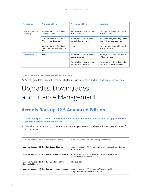<span id="page-15-0"></span>

| <b>Application</b>                          | <b>Standard Edition</b>                                                | <b>Advanced Edition</b>                         | Licensing                                                         |
|---------------------------------------------|------------------------------------------------------------------------|-------------------------------------------------|-------------------------------------------------------------------|
| <b>Microsoft Active</b><br><b>Directory</b> | Acronis Backup Standard<br>Server License                              | Acronis Backup Advanced<br>Server License       | Per physical server, VM, cloud<br>VM or instance                  |
|                                             | Acronis Backup Standard<br>Virtual Host License                        | Acronis Backup Advanced<br>Virtual Host License | Per virtual host, including unlim-<br>ited VMs on licensed host   |
|                                             | Acronis Backup Standard<br><b>Windows Server Essentials</b><br>License | N/A                                             | Per physical server, VM, cloud<br>VM or instance                  |
| <b>Oracle Database</b>                      | N/A                                                                    | Acronis Backup Advanced<br>Server License       | Per physical server, VM, cloud<br>VM or instance                  |
|                                             |                                                                        | Acronis Backup Advanced<br>Virtual Host License | Per virtual host, including unlim-<br>ited VMs on a licensed host |

#### **Q: What key features does each license include?**

A: You can find details about license-specific features in the **[Acronis Backup 12.5 License Comparison](http://www.acronis.com/en-us/resource-center/resource/197/)**.

# Upgrades, Downgrades and License Management

### **Acronis Backup 12.5 Advanced Edition**

- **Q: I have a perpetual license of Acronis Backup 12.5 Standard Edition and want to upgrade to the Advanced Edition. What should I do?**
- **A:** To enable the functionality of the Advanced Edition, you need to purchase edition upgrade licenses for Acronis Backup:

| <b>Acronis Backup 12.5 Standard Edition License</b>                      | <b>Acronis Backup 12.5 Edition Upgrade License</b>                                     |
|--------------------------------------------------------------------------|----------------------------------------------------------------------------------------|
| Acronis Backup 12.5 Standard Server License                              | Acronis Backup 12.5 Advanced Server License, Upgrade from<br>Acronis Backup 12.5       |
| Acronis Backup 12.5 Standard Virtual Host License                        | Acronis Backup 12.5 Advanced Virtual Host License,<br>Upgrade from Acronis Backup 12.5 |
| Acronis Backup 12.5 Standard Windows Server<br><b>Essentials License</b> | Not available                                                                          |
| Acronis Backup 12.5 Standard Workstation License                         | Acronis Backup 12.5 Advanced Workstation License,<br>Upgrade from Acronis Backup 12.5  |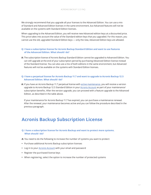<span id="page-16-0"></span>We strongly recommend that you upgrade all your licenses to the Advanced Edition. You can use a mix of Standard and Advanced Edition licenses in the same environment, but Advanced features will not be available on the systems with Standard Edition licenses.

When upgrading to the Advanced Edition, you will receive new Advanced edition keys at a discounted price. This price takes into account the value of the Standard edition keys that you upgraded. For this reason, you cannot use the old, upgraded Standard Edition keys — only the new, Advanced Edition keys are allowed.

#### **Q: I have a subscription license for Acronis Backup Standard Edition and want to use features of the Advanced Edition. What should I do?**

**A:** The subscription license of Acronis Backup Standard Edition cannot be upgraded to Advanced Edition. You can still upgrade at the end of your subscription period by purchasing Advanced Edition license instead of the Standard license. You can also use a mix of both editions in the same environment, but Advanced features will not be available on the systems with Standard Edition licenses.

#### **Q: I have a perpetual license for Acronis Backup 11.7 and want to upgrade to Acronis Backup 12.5 Advanced Edition. What should I do?**

**A:** If you have an Acronis Backup 11.7 perpetual license with [active maintenance,](http://www.acronis.com/en-us/business/renewals/) you will receive a version upgrade to Acronis Backup 12.5 Standard Edition in your [Acronis Account](https://account.acronis.com/) as part of your maintenance/ subscription benefits. After the version upgrade, you can proceed with a feature upgrade to the Advanced Edition, as described in the table above.

If your maintenance for Acronis Backup 11.7 has expired, you can purchase a maintenance renewal. After the renewal, your maintenance becomes active and you can follow the procedure described in the previous paragraph.

### **Acronis Backup Subscription License**

#### **Q: I have a subscription license for Acronis Backup and want to protect more systems. What should I do?**

- **A:** You need to do the following to increase the number of systems you want to protect:
- **•** Purchase additional Acronis Backup subscription licenses
- **•** Log in to your [Acronis Account](https://account.acronis.com/) with your email and password
- **•** Register the purchased license keys
- **•** When registering, select the option to increase the number of protected systems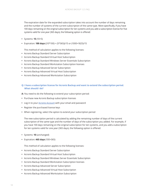The expiration date for the expanded subscription takes into account the number of days remaining and the number of systems of the current subscription of the same type. More specifically, if you have 100 days remaining on the original subscription for ten systems and you add a subscription license for five systems valid for one year (365 days), the following option is offered:

- **•** Systems: **15** (10+5)
- **•** Expiration: **188 days** ((10\*100) + (5\*365))/15 or (1000+1825)/15

This method of calculation applies to the following licenses:

- **•** Acronis Backup Standard Server Subscription
- **•** Acronis Backup Standard Virtual Host Subscription
- **•** Acronis Backup Standard Windows Server Essentials Subscription
- **•** Acronis Backup Standard Workstation Subscription licenses
- **•** Acronis Backup Advanced Server Subscription
- **•** Acronis Backup Advanced Virtual Host Subscription
- **•** Acronis Backup Advanced Workstation Subscription

#### **Q: I have a subscription license for Acronis Backup and want to extend the subscription period. What should I do?**

**A:** You need to do the following to extend your subscription period:

- **•** Purchase new Acronis Backup subscription licenses
- **•** Log in to your [Acronis Account](https://account.acronis.com/) with your email and password
- **•** Register the purchased license keys
- **•** When registering, select the option to extend your subscription period

The new subscription period is calculated by adding the remaining number of days of the current subscription of the same type and the number of days of the subscription you added. For example, if you have 100 days remaining on the original subscription for ten systems, and you add a subscription for ten systems valid for one year (365 days), the following option is offered:

- **•** Systems: **10** (unchanged)
- **•** Expiration: **465 days** (100+365)

This method of calculation applies to the following licenses:

- **•** Acronis Backup Standard Server Subscription
- **•** Acronis Backup Standard Virtual Host Subscription
- **•** Acronis Backup Standard Windows Server Essentials Subscription
- **•** Acronis Backup Standard Workstation Subscription licenses
- **•** Acronis Backup Advanced Server Subscription
- **•** Acronis Backup Advanced Virtual Host Subscription
- **•** Acronis Backup Advanced Workstation Subscription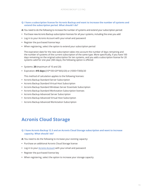#### <span id="page-18-0"></span>**Q: I have a subscription license for Acronis Backup and want to increase the number of systems and extend the subscription period. What should I do?**

**A:** You need to do the following to increase the number of systems and extend your subscription period:

- **•** Purchase new Acronis Backup subscription licenses for all your systems, including the ones you add
- **•** Log in to your Acronis Account with your email and password
- **•** Register the purchased license keys
- **•** When registering, select the option to extend your subscription period

The expiration date for the new subscription takes into account the number of days remaining and the number of systems of the current subscription of the same type. More specifically, if you have 100 days remaining on the original subscription for ten systems, and you add a subscription license for 20 systems valid for one year (365 days), the following option is offered:

- **•** Systems: **20** (maximum of 10 and 20)
- **•** Expiration: **415 days** ((10\*100+20\*365)/20) or (1000+7300)/20

This method of calculation applies to the following licenses:

- **•** Acronis Backup Standard Server Subscription
- **•** Acronis Backup Standard Virtual Host Subscription
- **•** Acronis Backup Standard Windows Server Essentials Subscription
- **•** Acronis Backup Standard Workstation Subscription licenses
- **•** Acronis Backup Advanced Server Subscription
- **•** Acronis Backup Advanced Virtual Host Subscription
- Acronis Backup Advanced Workstation Subscription

# **Acronis Cloud Storage**

#### **Q: I have Acronis Backup 12.5 and an Acronis Cloud Storage subscription and want to increase capacity. What should I do?**

**A:** You need to do the following to increase your existing capacity:

- **•** Purchase an additional Acronis Cloud Storage license
- **•** Log in to your [Acronis Account](https://account.acronis.com/) with your email and password
- **•** Register the purchased license key
- **•** When registering, select the option to increase your storage capacity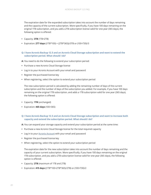The expiration date for the expanded subscription takes into account the number of days remaining and the capacity of the current subscription. More specifically, if you have 100 days remaining on the original 1TB subscription, and you add a 2TB subscription license valid for one year (365 days), the following option is offered:

- **•** Capacity: **3TB** (1TB+2TB)
- **•** Expiration: **277 days** ((1TB\*100) + (2TB\*365))/3TB or (100+730)/3

#### **Q: I have Acronis Backup 12.5 and an Acronis Cloud Storage subscription and want to extend the subscription period. What should I do?**

- **A:** You need to do the following to extend your subscription period:
- **•** Purchase a new Acronis Cloud Storage license
- **•** Log in to your Acronis Account with your email and password
- **•** Register the purchased license key
- **•** When registering, select the option to extend your subscription period

The new subscription period is calculated by adding the remaining number of days of the current subscription and the number of days of the subscription you added. For example, if you have 100 days remaining on the original 1TB subscription, and adds a 1TB subscription valid for one year (365 days), the following option is offered:

- **•** Capacity: **1TB** (unchanged)
- **•** Expiration: **465 days** (100+365)

#### **Q: I have Acronis Backup 12.5 and an Acronis Cloud Storage subscription and want to increase both capacity and extend the subscription period. What should I do?**

**A:** You can expand your storage capacity and extend your subscription period at the same time:

- **•** Purchase a new Acronis Cloud Storage license for the total required capacity
- Log in to your **Acronis Account** with your email and password
- **•** Register the purchased license key
- **•** When registering, select the option to extend your subscription period

The expiration date for the new subscription takes into account the number of days remaining and the capacity of your current subscription. More specifically, if you have 100 days remaining on the original 1TB subscription, and you add a 2TB subscription license valid for one year (365 days), the following option is offered:

- **•** Capacity: **2TB** (maximum of 1TB and 2TB)
- **•** Expiration: **415 days** ((1TB\*100+2TB\*365)/2TB) or (100+730)/2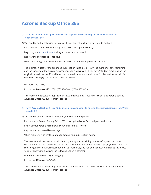# <span id="page-20-0"></span>**Acronis Backup Office 365**

#### **Q: I have an Acronis Backup Office 365 subscription and want to protect more mailboxes. What should I do?**

**A:** You need to do the following to increase the number of mailboxes you want to protect:

- **•** Purchase additional Acronis Backup Office 365 subscription license(s)
- Log in to your **Acronis Account** with your email and password
- **•** Register the purchased license keys
- **•** When registering, select the option to increase the number of protected systems

The expiration date for the expanded subscription takes into account the number of days remaining and the capacity of the current subscription. More specifically, if you have 100 days remaining on the original subscription for 25 mailboxes, and you add a subscription license for five mailboxes valid for one year (365 days), the following option is offered:

- **•** Mailboxes: **30** (25+5)
- **•** Expiration: **144 days** ((25\*100) + (5\*365))/30 or (2500+1825)/30

This method of calculation applies to both Acronis Backup Standard Office 365 and Acronis Backup Advanced Office 365 subscription licenses.

#### **Q: I have Acronis Backup Office 365 subscription and want to extend the subscription period. What should I do?**

**A:** You need to do the following to extend your subscription period:

- **•** Purchase new Acronis Backup Office 365 subscription license(s) for all your mailboxes
- **•** Log in to your Acronis Account with your email and password
- **•** Register the purchased license keys
- **•** When registering, select the option to extend your subscription period

The new subscription period is calculated by adding the remaining number of days of the current subscription and the number of days of the subscription you added. For example, if you have 100 days remaining on the original subscription for 25 mailboxes, and you add a subscription for 25 mailboxes valid for one year (365 days), the following option is offered:

- **•** Number of mailboxes: **25** (unchanged)
- **•** Expiration: **465 days** (100+365)

This method of calculation applies to both Acronis Backup Standard Office 365 and Acronis Backup Advanced Office 365 subscription licenses.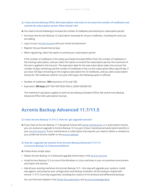#### <span id="page-21-0"></span>**Q: I have Acronis Backup Office 365 subscription and want to increase the number of mailboxes and extend the subscription period. What should I do?**

- **A:** You need to do the following to increase the number of mailboxes and extend your subscription period:
- **•** Purchase new Acronis Backup 12 subscription license(s) for all your mailboxes, including the ones you are adding
- Log in to your **Acronis Account** with your email and password
- **•** Register the purchased license keys
- **•** When registering, select the option to extend your subscription period

If the number of mailboxes in the newly purchased license(s) differs from the number of mailboxes in the existing subscription, and you select the option to extend the subscription period, the maximum of the two is applied to the Account. The expiration date for the new subscription takes into account the number of days remaining and the number of mailboxes in the current subscription.More specifically, if you have 100 days remaining on the original subscription for 25 mailboxes, and you add a subscription license for 100 mailboxes valid for one year (365 days), the following option is offered:

- **•** Number of mailboxes: **100** (maximum of 25 and 100)
- **•** Expiration: **390 days** ((25\*100+100\*365)/100) or (2500+36500)/100

This method of calculation applies to both Acronis Backup Standard Office 365 and Acronis Backup Advanced Office 365 subscription licenses.

### **Acronis Backup Advanced 11.7/11.5**

#### **Q: I have Acronis Backup 11.7/11.5. How do I get upgrade licenses?**

**A:** If you have an Acronis Backup 11.7 perpetual license with [active maintenance](http://www.acronis.com/en-us/business/renewals/), or a subscription license, you can receive an upgrade to Acronis Backup 12.5 as part of your maintenance/subscription benefits in your [Acronis Account.](http://account.acronis.com/) If your maintenance or subscription has expired, you need to obtain a renewal via your preferred Acronis reseller or the [Acronis website.](http://www.acronis.com/business/renewals/)

#### **Q: How do I upgrade my systems from Acronis Backup Advanced 11.7/11.5 to Acronis Backup 12.5 Advanced Edition?**

**A:** Follow these simple steps:

- Obtain Acronis Backup 12.5 Advanced upgrade license keys in the **Acronis Account**
- **•** Install Acronis Backup 12.5 on one of the Windows or Linux machines in your on-premises environment and import the licenses
- **•** Add all your existing machines into Acronis Backup 12.5 this step will upgrade your systems, install new agents, and preserve your configuration and backup schedules; all the backups created with version 11.7/11.5 are fully supported, including the creation of incremental and differential backups

You can find more details in the [Online Documentation](http://www.acronis.com/en-us/support/documentation/AcronisBackup_12.5/#36537.html) and [Acronis Knowledge Base.](https://kb.acronis.com/content/57721)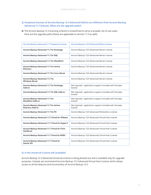#### **Q: Perpetual licenses of Acronis Backup 12.5 Advanced Edition are different from Acronis Backup Advanced 11.7 licenses. What are the upgrade paths?**

**A:** The Acronis Backup 12.5 licensing scheme is streamlined to serve a broader set of use cases. Here are the upgrade paths (these are applicable to version 11.5 as well):

| Acronis Backup Advanced 11.7 Perpetual License                      | <b>Acronis Backup 12.5 Advanced Edition license</b>                  |
|---------------------------------------------------------------------|----------------------------------------------------------------------|
| Acronis Backup Advanced 11.7 for Exchange                           | Acronis Backup 12.5 Advanced Server License                          |
| Acronis Backup Advanced 11.7 for SQL                                | Acronis Backup 12.5 Advanced Server License                          |
| Acronis Backup Advanced 11.7 for SharePoint                         | Acronis Backup 12.5 Advanced Server License                          |
| Acronis Backup Advanced 11.7 for Active<br><b>Directory</b>         | Acronis Backup 12.5 Advanced Server License                          |
| Acronis Backup Advanced 11.7 for Linux Server                       | Acronis Backup 12.5 Advanced Server License                          |
| Acronis Backup Advanced 11.7 for<br><b>Windows Server</b>           | Acronis Backup 12.5 Advanced Server License                          |
| Acronis Backup Advanced 11.7 for Exchange<br>Add-on                 | Not required - application support included with the base<br>license |
| Acronis Backup Advanced 11.7 for SQL Add-on                         | Not required - application support included with the base<br>license |
| Acronis Backup Advanced 11.7 for<br><b>SharePoint Add-on</b>        | Not required - application support included with the base<br>license |
| Acronis Backup Advanced 11.7 for Active<br>Directory Add-on         | Not required - application support included with the base<br>license |
| Acronis Backup Advanced 11.7 for PC                                 | Acronis Backup 12.5 Advanced Workstation License                     |
| Acronis Backup Advanced 11.7 Virtual for VMware                     | Acronis Backup 12.5 Advanced Virtual Host License                    |
| Acronis Backup Advanced 11.7 Virtual for Hyper-V                    | Acronis Backup 12.5 Advanced Virtual Host License                    |
| Acronis Backup Advanced 11.7 Virtual for Citrix<br><b>XenServer</b> | Acronis Backup 12.5 Advanced Virtual Host License                    |
| Acronis Backup Advanced 11.7 Virtual for RHEV                       | Acronis Backup 12.5 Advanced Virtual Host License                    |
| Acronis Backup Advanced 11.7 Virtual for<br><b>Oracle VM</b>        | Acronis Backup 12.5 Advanced Virtual Host License                    |

#### **Q: Is the Universal License still available?**

Acronis Backup 12.5 Advanced Universal License is being phased out and is available only for upgrade purposes. Instead, we recommend Acronis Backup 12.5 Advanced Virtual Host License, which allows access to all the features and functionality of Acronis Backup 12.5.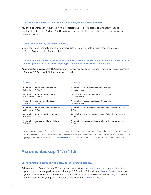#### <span id="page-23-0"></span>**Q: If I originally planned to buy a Universal License, what should I purchase?**

You should purchase the Advanced Virtual Host License as it allows access to all the features and functionality of Acronis Backup 12.5. The Advanced Virtual Host license is also more cost effective than the Universal License.

#### **Q: How can I renew my Universal License(s)**

Maintenance and renewal options for Universal Licenses are available for purchase. Contact your preferred Acronis reseller for more details.

#### **Q: Acronis Backup Advanced Subscription licenses are very similar to Acronis Backup Advanced 11.7 subscription licenses. Is there anything in the upgrade paths that I should know?**

**A:** Acronis Backup Advanced 11.7 subscription licenses are designed to support future upgrades to Acronis Backup 12.5 Advanced Edition. Here are the paths:

| <b>Previous name</b>                    | New name                                                  |
|-----------------------------------------|-----------------------------------------------------------|
| Acronis Backup Advanced for Server      | Acronis Backup Advanced Server Subscription               |
| Subscription, 1 Year *                  | License, 1 Year                                           |
| Acronis Backup Advanced for Server      | Acronis Backup Advanced Server Subscription               |
| Subscription, 2 Year *                  | License, 2 Year                                           |
| Acronis Backup Advanced for Server      | Acronis Backup Advanced Server Subscription               |
| Subscription, 3 Year *                  | License, 3 Year                                           |
| Acronis Backup Advanced for workstation | Acronis Backup Advanced Workstation Subscription License, |
| Subscription, 1 Year                    | 1 Year                                                    |
| Acronis Backup Advanced for workstation | Acronis Backup Advanced Workstation Subscription License, |
| Subscription, 2 Year                    | 2 Year                                                    |
| Acronis Backup Advanced for workstation | Acronis Backup Advanced Workstation Subscription License, |
| Subscription, 3 Year                    | 3 Year                                                    |

\* Acronis Backup Advanced for Server Subscription includes virtual host support. However, an Advanced Virtual Host License is required for Acronis Backup 12.5. If you have previously protected virtual hosts with the Acronis Backup Advanced for Server Subscription, contact your preferred Acronis reseller or [Acronis Customer Service](https://www.acronis.com/support) to receive Acronis Backup Advanced Virtual Host Subscription Licenses.

### **Acronis Backup 11.7/11.5**

#### **Q: I have Acronis Backup 11.7/11.5. How do I get upgrade licenses?**

**A:** If you have an Acronis Backup 11.7 perpetual license with [active maintenance](http://www.acronis.com/en-us/business/renewals/), or a subscription license, you can receive an upgrade to Acronis Backup 12.5 Standard Edition in your [Acronis Account](https://account.acronis.com/) as part of your maintenance/subscription benefits. If your maintenance or subscription has expired, you need to obtain a renewal via your preferred Acronis reseller or the **Acronis website**.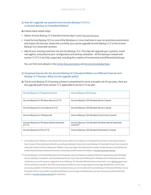#### **Q: How do I upgrade my systems from Acronis Backup 11.7/11.5 to Acronis Backup 12.5 Standard Edition?**

**A:** Follow these simple steps:

- **•** Obtain Acronis Backup 12.5 Standard license keys in your [Acronis Account.](https://account.acronis.com/)
- **•** Install Acronis Backup 12.5 on one of the Windows or Linux machines in your on-premises environment and import the licenses. (Note that currently, you cannot upgrade Acronis Backup 11.7 to the Acronis Backup 12.5 cloud web console.)
- **•** Add all your existing machines into Acronis Backup 12.5. This step will upgrade your systems, install new agents, and preserve your configuration and backup schedules. All the backups created with version 11.7/11.5 are fully supported, including the creation of incremental and differential backups

You can find more details in the [Online Documentation](http://www.acronis.com/en-us/support/documentation/AcronisBackup_12.5/#36537.html) and [Acronis Knowledge Base](https://kb.acronis.com/content/57721).

#### **Q: Perpetual licenses for the Acronis Backup 12.5 Standard Edition are different from Acronis Backup 11.7 licenses. What are the upgrade paths?**

**A:** The Acronis Backup 12.5 licensing scheme is streamlined to serve a broader set of use cases. Here are the upgrade paths from version 11.7, applicable to version 11.5 as well:

| Acronis Backup 11.7 Perpetual License                   | <b>Acronis Backup 12.5 License</b>                                  |
|---------------------------------------------------------|---------------------------------------------------------------------|
| Acronis Backup for Windows Server (v11.7)               | Acronis Backup 12.5 Standard Server License                         |
| Acronis Backup for Linux Server (v11.7)                 | Acronis Backup 12.5 Standard Server License                         |
| Acronis Backup for VMware (v9)                          | Acronis Backup 12.5 Standard Virtual Host License*                  |
| Acronis Backup for Windows Server Essentials<br>(V11.7) | Acronis Backup 12.5 Standard Windows Server Essentials<br>License** |
| Acronis Backup for PC (v11.7)                           | Acronis Backup 12.5 Standard Workstation License                    |

- \* Acronis Backup for VMware is licensed per CPU socket, while Acronis Backup 12.5 Standard Virtual Host is licensed per physical host. As part of the maintenance benefit, you will automatically receive one Acronis Backup 12.5 Standard Virtual Host License for every two licenses of Acronis Backup for VMware. If you use single-CPU hosts and the number of new licenses is not sufficient to protect the previously licensed environment, contact your preferred Acronis reseller, or [Acronis Customer Service](https://www.acronis.com/support).
- \*\* Acronis Backup 12.5 Standard Windows Server Essentials License includes the majority of features required to protect Windows Server Essentials, Foundation, and Small Business Server. If you have Acronis Backup for Windows Server Essentials and active maintenance, you will receive an upgrade to Acronis Backup 12.5 Standard Windows Server Essentials in your [My Account](https://account.acronis.com/) as part of the maintenance benefits. Note that some advanced features, such as tape support and storage deduplication, which were previously available in the Windows Server Essentials license, are not included with Acronis Backup 12.5 Standard Windows Server Essentials license. If you need to use advanced features such as tape or deduplication, you can contact your preferred Acronis reseller, or [Acronis Customer Service](https://www.acronis.com/support) for assistance.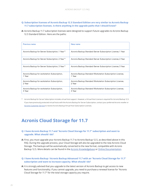#### <span id="page-25-0"></span>**Q: Subscription licenses of Acronis Backup 12.5 Standard Edition are very similar to Acronis Backup 11.7 subscription licenses. Is there anything in the upgrade paths that I should know?**

**A:** Acronis Backup 11.7 subscription licenses were designed to support future upgrades to Acronis Backup 12.5 Standard Edition. Here are the paths:

| <b>Previous name</b>                                   | New name                                                            |
|--------------------------------------------------------|---------------------------------------------------------------------|
| Acronis Backup for Server Subscription, 1 Year *       | Acronis Backup Standard Server Subscription License, 1 Year         |
| Acronis Backup for Server Subscription, 2 Year *       | Acronis Backup Standard Server Subscription License, 2 Year         |
| Acronis Backup for Server Subscription, 3 Year *       | Acronis Backup Standard Server Subscription License, 3 Year         |
| Acronis Backup for workstation Subscription,<br>1 Year | Acronis Backup Standard Workstation Subscription License,<br>1 Year |
| Acronis Backup for workstation Subscription,<br>2 Year | Acronis Backup Standard Workstation Subscription License,<br>2 Year |
| Acronis Backup for workstation Subscription,<br>3 Year | Acronis Backup Standard Workstation Subscription License,<br>3 Year |

\* Acronis Backup for Server Subscription includes virtual host support. However, a Virtual Host License is required for Acronis Backup 12.5. If you have previously protected virtual hosts with the Acronis Backup for Server Subscription, contact your preferred Acronis reseller or [Acronis Customer Service](https://www.acronis.com/support) to receive Acronis Backup Virtual Host Subscription Licenses.

# **Acronis Cloud Storage for 11.7**

#### **Q: I have Acronis Backup 11.7 and "Acronis Cloud Storage for 11.7" subscription and want to upgrade. What should I do?**

**A:** First, you must upgrade your Acronis Backup 11.7 to Acronis Backup 12.5, as described above in this FAQ. During the upgrade process, your Cloud Storage will also be upgraded to the new Acronis Cloud Storage. The backups will be automatically converted to the new format, compatible with Acronis Backup 12.5. More details can be found in the [Acronis Knowledgebase](https://kb.acronis.com/content/57721) or [Online Documentation.](http://www.acronis.com/en-us/support/documentation/AcronisBackup_12.5/#36537.html)

#### **Q: I have Acronis Backup / Acronis Backup Advanced 11.7 with an "Acronis Cloud Storage for 11.7" subscription and want to increase capacity. What should I do?**

**A:** It is strongly advised that you upgrade to the latest version of Acronis Backup to get access to new features and functionality. If you cannot upgrade, you need to purchase a renewal license for "Acronis Cloud Storage for 11.7" for the total storage capacity you require.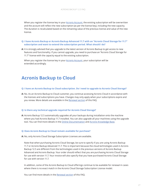<span id="page-26-0"></span>When you register the license key in your [Acronis Account](https://account.acronis.com/), the existing subscription will be overwritten and the account will reflect the new subscription (as per the license key), including the new capacity. The duration is recalculated based on the remaining value of the previous license and value of the new license.

**Q: I have Acronis Backup or Acronis Backup Advanced 11.7 with an "Acronis Cloud Storage for 11.7" subscription and want to extend the subscription period. What should I do?**

**A:** It is strongly advised that you upgrade to the latest version of Acronis Backup to get access to new features and functionality. If you cannot upgrade, you need to purchase an "Acronis Cloud Storage for 11.7" license with the capacity equal to the existing subscription.

When you register the license key in your **Acronis Account**, your subscription will be extended accordingly.

### **Acronis Backup to Cloud**

#### **Q: I have an Acronis Backup to Cloud subscription. Do I need to upgrade to Acronis Cloud Storage?**

**A:** No. As an Acronis Backup to Cloud customer, you continue accessing Acronis Cloud in accordance with the licenses and subscriptions you have. Changes may only apply when your subscriptions expire and you renew. More details are available in the [Renewal section](#page-1-0) of this FAQ.

#### **Q: Is there any technical upgrade required for Acronis Cloud Storage?**

**A:** Acronis Backup 12.5 automatically upgrades all your backups during installation onto the machine where you had Acronis Backup 11.7 installed. You can also upgrade all your machines using the upgrade tool. You can find more details in the [Online Documentation](http://www.acronis.com/en-us/support/documentation/AcronisBackup_12.5/#36537.html) and [Acronis Knowledge Base](https://kb.acronis.com/content/57721).

#### **Q: Does Acronis Backup to Cloud remain available for purchase?**

**A:** No, only Acronis Cloud Storage Subscription Licenses are available.

Note that when purchasing Acronis Cloud Storage, be sure to specify if you are using Acronis Backup 11.7 or Acronis Backup Advanced 11.7. This is important because the cloud technologies used in Acronis Backup 12.5 are different from the technologies used in the previous versions of Acronis Backup Advanced and Acronis Backup. Your order should reflect that you are purchasing Acronis Cloud Storage for use with version 11.7. Your invoice will also specify that you have purchased Acronis Cloud Storage for use with version 11.7.

In addition, some of the Acronis Backup to Cloud offerings continue to be available for renewal in cases where there is no exact match in the Acronis Cloud Storage Subscription License model.

You can find more details in the [Renewal section](#page-1-0) of this FAQ.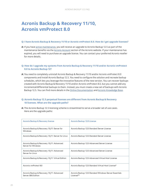# <span id="page-27-0"></span>**Acronis Backup & Recovery 11/10, Acronis vmProtect 8.0**

#### **Q: I have Acronis Backup & Recovery 11/10 or Acronis vmProtect 8.0. How do I get upgrade licenses?**

**A:** If you have [active maintenance](http://www.acronis.com/en-us/business/renewals/), you will receive an upgrade to Acronis Backup 12.5 as part of the maintenance benefits via the [Acronis Account](https://account.acronis.com/) section of the Acronis website. If your maintenance has expired, you will need to purchase an upgrade license. You can contact your preferred Acronis reseller for more details.

#### **Q: How do I upgrade my systems from Acronis Backup & Recovery 11/10 and/or Acronis vmProtect 8.0 to Acronis Backup 12?**

**A:** You need to completely uninstall Acronis Backup & Recovery 11/10 and/or Acronis vmProtect 8.0 components and install Acronis Backup 12.5. You need to configure the solution and recreate backup schedules, which lets you leverage the innovative features of the new version. You can recover backups created with Acronis Backup & Recovery 11/10 and/or Acronis vmProtect 8.0, but you cannot add any incremental/differential backups to them. Instead, you must create a new set of backups with Acronis Backup 12.5. You can find more details in the [Online Documentation](http://www.acronis.com/en-us/support/documentation/AcronisBackup_12.5/#36537.html) and [Acronis Knowledge Base](https://kb.acronis.com/content/57721).

#### **Q: Acronis Backup 12.5 perpetual licenses are different from Acronis Backup & Recovery 10 licenses. What are the upgrade paths?**

**A:** The Acronis Backup 12.5 licensing scheme is streamlined to serve a broader set of use cases. Here are the upgrade paths:

| <b>Acronis Backup &amp; Recovery license</b>                   | Acronis Backup 12.5 License                                         |
|----------------------------------------------------------------|---------------------------------------------------------------------|
| Acronis Backup & Recovery 10/11 Server for<br>Windows          | Acronis Backup 12.5 Standard Server License                         |
| Acronis Backup & Recovery 10/11 Server for Linux               | Acronis Backup 12.5 Standard Server License                         |
| Acronis Backup & Recovery 10/11 Advanced<br>Server for Windows | Acronis Backup 12.5 Advanced Server License                         |
| Acronis Backup & Recovery 10/11 Advanced<br>Server for Linux   | Acronis Backup 12.5 Advanced Server License                         |
| Acronis Backup & Recovery 10/11 Virtual Edition                | Acronis Backup 12.5 Advanced Virtual Host License                   |
| Acronis vmProtect 80                                           | Acronis Backup 12.5 Standard Virtual Host License*                  |
| Acronis Backup & Recovery 10/11 Advanced<br>Server SBS Edition | Acronis Backup 12.5 Standard Windows Server Essentials<br>License** |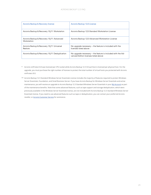| <b>Acronis Backup &amp; Recovery license</b>            | Acronis Backup 12.5 License                                                                         |
|---------------------------------------------------------|-----------------------------------------------------------------------------------------------------|
| Acronis Backup & Recovery 10/11 Workstation             | Acronis Backup 12.5 Standard Workstation License                                                    |
| Acronis Backup & Recovery 10/11 Advanced<br>Workstation | Acronis Backup 12.5 Advanced Workstation License                                                    |
| Acronis Backup & Recovery 10/11 Universal<br>Restore    | No upgrade necessary $-$ the feature is included with the<br>licenses listed above                  |
| Acronis Backup & Recovery 10/11 Deduplication           | No upgrade necessary – the feature is included with the Ad-<br>vanced Edition licenses listed above |

- \* Acronis vmProtect 8.0 was licensed per CPU socket while Acronis Backup 12.5 Virtual Host is licensed per physical host. For the upgrade, you must purchase the right number of licenses to protect the total number of virtual hosts you protected with Acronis vmProtect 8.0.
- \*\* Acronis Backup 12.5 Standard Windows Server Essentials License includes the majority of features required to protect Windows Server Essentials, Foundation, and Small Business Server. If you have Acronis Backup for Windows Server Essentials and active maintenance, you will receive an upgrade to Acronis Backup 12.5 Standard Windows Server Essentials in your [My Account](https://account.acronis.com/) as part of the maintenance benefits. Note that some advanced features, such as tape support and storage deduplication, which were previously available in the Windows Server Essentials license, are not included with Acronis Backup 12.5 Standard Windows Server Essentials license. If you need to use advanced features such as tape or deduplication, you can contact your preferred Acronis reseller, or [Acronis Customer Service](http://www.acronis.com/en-us/support/) for assistance.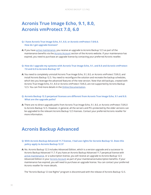# <span id="page-29-0"></span>**Acronis True Image Echo, 9.1, 8.0, Acronis vmProtect 7.0, 6.0**

#### **Q: I have Acronis True Image Echo, 9.1, 8.0, or Acronis vmProtect 7.0/6.0. How do I get upgrade licenses?**

**A:** If you have [active maintenance,](http://www.acronis.com/en-us/business/renewals/) you receive an upgrade to Acronis Backup 12.5 as part of the maintenance benefits via the [Acronis Account](https://account.acronis.com/) section of the Acronis website. If your maintenance has expired, you need to purchase an upgrade license by contacting your preferred Acronis reseller.

#### **Q: How do I upgrade my systems with Acronis True Image Echo, 9.1, and 8.0 and Acronis vmProtect 7.0 and 6.0 to Acronis Backup 12?**

**A:** You need to completely uninstall Acronis True Image Echo, 9.1, 8.0, or Acronis vmProtect 7.0/6.0, and install Acronis Backup 12.5. You need to reconfigure the solution and recreate the backup schedules, which lets you leverage the advanced features of the new version. Note that old backups, created with Acronis True Image Echo, 9.1, 8.0 or Acronis vmProtect 7.0/6.0, are not supported by Acronis Backup 12.5. You can find more details in the [Online Documentation](http://www.acronis.com/en-us/support/documentation/AcronisBackup_12.5/#36537.html).

#### **Q: Acronis Backup 12.5 perpetual licenses are different from Acronis True Image Echo, 9.1 and 8.0. What are the upgrade paths?**

**A:** There are no direct upgrade paths from Acronis True Image Echo, 9.1, 8.0, or Acronis vmProtect 7.0/6.0 to Acronis Backup 12.5. However, in general, all the servers and PCs protected by the older versions can be upgraded to the relevant Acronis Backup 12.5 licenses. Contact your preferred Acronis reseller for more information.

# **Acronis Backup Advanced**

#### **Q: With Acronis Backup Advanced 11.7 license, I had use rights for Acronis Backup 12. Does this policy apply to Acronis Backup 12.5?**

**A:** No. Acronis Backup 12.5 includes Advanced Edition, which is a version upgrade and a successor to Acronis Backup Advanced 11.7. If you have an Acronis Backup Advanced 11.7 perpetual license with [active maintenance,](http://www.acronis.com/en-us/business/renewals/) or a subscription license, you will receive an upgrade to Acronis Backup 12.5 Advanced Edition in your [Acronis Account](https://account.acronis.com/) as part of your maintenance/subscription benefits. If your maintenance has expired, you will need to purchase an upgrade license. You can contact your preferred Acronis reseller for more details.

The "Acronis Backup 12 Use Rights" program is discontinued with the release of Acronis Backup 12.5.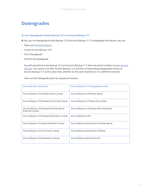# <span id="page-30-0"></span>**Downgrades**

#### **Q: Can I downgrade Acronis Backup 12.5 to Acronis Backup 11.7**

**A:** Yes, you can downgrade Acronis Backup 12.5 to Acronis Backup 11.7. To downgrade the licenses, you can:

- **-** Open your [Acronis Account](https://account.acronis.com/)
- **-** Locate Acronis Backup 12.5
- **-** Click "Downgrade"
- **-** Confirm the downgrade

You will see both Acronis Backup 12.5 and Acronis Backup 11.7 with new serial numbers in your [Acronis](https://account.acronis.com/)  [Account](https://account.acronis.com/). You cannot use both Acronis Backup 12.5 and the corresponding downgraded license of Acronis Backup 11.7 at the same time, whether on the same machine or on a different machine.

Here are the downgrade paths for perpetual licenses:

| Acronis Backup 12.5 License                                              | <b>Acronis Backup 11.7 Downgraded License</b> |
|--------------------------------------------------------------------------|-----------------------------------------------|
| Acronis Backup 12.5 Standard Server License                              | Acronis Backup for Windows Server             |
| Acronis Backup 12.5 Standard Virtual Host License                        | Acronis Backup for VMware (2x sockets)        |
| Acronis Backup 12.5 Standard Windows Server<br><b>Essentials License</b> | Acronis Backup for Windows Server Essentials  |
| Acronis Backup 12.5 Standard Workstation License                         | Acronis Backup for PC                         |
| Acronis Backup 12.5 Advanced Server License                              | Acronis Backup Advanced for Windows Server    |
| Acronis Backup 12.5 Virtual Host License                                 | Acronis Backup Advanced for VMware            |
| Acronis Backup 12.5 Workstation License                                  | Acronis Backup Advanced for PC                |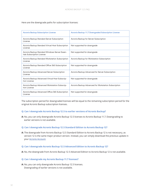Here are the downgrade paths for subscription licenses:

| <b>Acronis Backup Subscription License</b>                                  | <b>Acronis Backup 11.7 Downgraded Subscription License</b> |
|-----------------------------------------------------------------------------|------------------------------------------------------------|
| Acronis Backup Standard Server Subscription<br>License                      | Acronis Backup for Server Subscription                     |
| Acronis Backup Standard Virtual Host Subscription<br>I icense               | Not supported for downgrade                                |
| Acronis Backup Standard Windows Server Essen-<br>tials Subscription License | Not supported for downgrade                                |
| Acronis Backup Standard Workstation Subscription<br>License                 | Acronis Backup for Workstation Subscription                |
| Acronis Backup Standard Office 365 Subscription<br>License                  | Not supported for downgrade                                |
| Acronis Backup Advanced Server Subscription<br>License                      | Acronis Backup Advanced for Server Subscription            |
| Acronis Backup Advanced Virtual Host Subscrip-<br>tion License              | Not supported for downgrade                                |
| Acronis Backup Advanced Workstation Subscrip-<br>tion License               | Acronis Backup Advanced for Workstation Subscription       |
| Acronis Backup Advanced Office 365 Subscription<br>License                  | Not supported for downgrade                                |

The subscription period for downgraded licenses will be equal to the remaining subscription period for the original Acronis Backup subscription licenses.

#### **Q: Can I downgrade Acronis Backup 12.5 to earlier versions of Acronis Backup?**

**A:** No, you can only downgrade Acronis Backup 12.5 licenses to Acronis Backup 11.7. Downgrading to earlier versions is not available.

#### **Q: Can I downgrade Acronis Backup 12.5 Standard Edition to Acronis Backup 12?**

**A:** The downgrade from Acronis Backup 12.5 Standard Edition to Acronis Backup 12 is not necessary, as version 12 is the same major product version. Instead, you can simply download the previous update in your [Acronis Account.](https://account.acronis.com/)

#### **Q: Can I downgrade Acronis Backup 12.5 Advanced Edition to Acronis Backup 12?**

**A:** No, the downgrade from Acronis Backup 12.5 Advanced Edition to Acronis Backup 12 is not available.

#### **Q: Can I downgrade my Acronis Backup 11.7 licenses?**

**A:** No, you can only downgrade Acronis Backup 12.5 licenses. Downgrading of earlier versions is not available.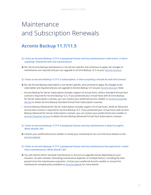# <span id="page-32-0"></span>Maintenance and Subscription Renewals

### **Acronis Backup 11.7/11.5**

- **Q: I have an Acronis Backup 11.7/11.5 perpetual license and my maintenance is still active. Is there anything I should do with the maintenance?**
- **A:** No, the Acronis Backup maintenance is not version-specific and continues to apply. No changes to maintenance are required and you can upgrade to Acronis Backup 12.5 via your [Acronis Account](https://account.acronis.com/).

#### **Q: I have an Acronis Backup 11.7/11.5 subscription. Is there anything I should do with the license?**

- **A:** No, the Acronis Backup subscription is not version-specific, and continues to apply. No changes to the subscription are required and you can upgrade to Acronis Backup 12.5 via your [Acronis Account](https://account.acronis.com/). Note:
- **-** Acronis Backup for Server Subscription includes support of virtual hosts, while a Standard Virtual Host License is required for Acronis Backup 12.5. If you protected your virtual hosts with Acronis Backup for Server Subscription Licenses, you can contact your preferred Acronis reseller or [Acronis Customer](http://www.acronis.com/en-us/support/)  [Service](http://www.acronis.com/en-us/support/) to obtain Acronis Backup Standard Virtual Host Subscription Licenses.
- **-** Acronis Backup Advanced for Server Subscription includes support of virtual hosts, while an Advanced Virtual Host License is required for Acronis Backup 12.5. If you protected your virtual hosts with Acronis Backup Advanced for Server Subscription Licenses, you can contact your preferred Acronis reseller or [Acronis Customer Service](http://www.acronis.com/en-us/support/) to obtain Acronis Backup Advanced Virtual Host Subscription Licenses.

#### **Q: I have an Acronis Backup 11.7/11.5 perpetual license and my maintenance is about to expire. What should I do?**

**A:** Contact your preferred Acronis reseller to renew your maintenance You can find more details on the [Acronis website.](http://www.acronis.com/en-us/business/renewals/)

#### **Q: I have an Acronis Backup 11.7/11.5 perpetual license and my maintenance has expired (or I never had a maintenance). What should I do?**

**A:** You will need to either reinstate maintenance or procure an upgrade license depending on your situation. As with renewal, reinstating maintenance depends on multiple factors, including the time passed since the maintenance expiration. Contact your preferred Acronis reseller or consult the maintenance renewal policy available on [Acronis website](http://www.acronis.com/en-us/business/renewals/) for more details.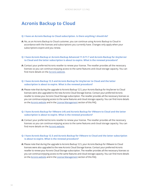### <span id="page-33-0"></span>**Acronis Backup to Cloud**

#### **Q: I have an Acronis Backup to Cloud subscription. Is there anything I should do?**

**A:** No, as an Acronis Backup to Cloud customer, you can continue using Acronis Backup to Cloud in accordance with the licenses and subscriptions you currently have. Changes only apply when your subscriptions expire and you renew.

#### **Q: I have Acronis Backup or Acronis Backup Advanced 11.5/11.7 and Acronis Backup for AnyServer to Cloud and the latter subscription is about to expire. What is the renewal procedure?**

**A:** Contact your preferred Acronis reseller to renew your license. The reseller provides all the necessary licenses so you can continue enjoying access to the same features and cloud storage capacity. You can find more details on the [Acronis website](http://www.acronis.com/en-us/business/renewals/).

#### **Q: I have Acronis Backup 12.5 and Acronis Backup for AnyServer to Cloud and the latter subscription is about to expire. What is the renewal procedure?**

**A:** Please note that during the upgrade to Acronis Backup 12.5, your Acronis Backup for AnyServer to Cloud licenses were also upgraded to the new Acronis Cloud Storage license. Contact your preferred Acronis reseller to renew your Acronis Cloud Storage subscription. The reseller provides all the necessary licenses so you can continue enjoying access to the same features and cloud storage capacity. You can find more details on the [Acronis website](http://www.acronis.com/en-us/business/renewals/) and in the [License Management](#page-8-0) section of this FAQ.

#### **Q: I have Acronis Backup for VMware (v9) and Acronis Backup for VMware to Cloud and the latter subscription is about to expire. What is the renewal procedure?**

**A:** Contact your preferred Acronis reseller to renew your license. The reseller provides all the necessary licenses so you can continue enjoying access to the same features and cloud storage capacity. You can find more details on the [Acronis website.](http://www.acronis.com/en-us/business/renewals/)

#### **Q: I have Acronis Backup 12.5 and Acronis Backup for VMware to Cloud and the latter subscription is about to expire. What is the renewal procedure?**

**A:** Please note that during the upgrade to Acronis Backup 12.5, your Acronis Backup for VMware to Cloud licenses were also upgraded to the new Acronis Cloud Storage license. Contact your preferred Acronis reseller to renew your Acronis Cloud Storage subscription. The reseller provides all the necessary licenses so you can continue enjoying access to the same features and cloud storage capacity. You can find more details on the [Acronis website](http://www.acronis.com/en-us/business/renewals/) and in the [License Management](#page-8-0) section of this FAQ.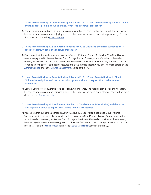#### **Q: I have Acronis Backup or Acronis Backup Advanced 11.5/11.7 and Acronis Backup for PC to Cloud and the subscription is about to expire. What is the renewal procedure?**

**A:** Contact your preferred Acronis reseller to renew your license. The reseller provides all the necessary licenses so you can continue enjoying access to the same features and cloud storage capacity. You can find more details on the [Acronis website.](http://www.acronis.com/en-us/business/renewals/)

#### **Q: I have Acronis Backup 12.5 and Acronis Backup for PC to Cloud and the latter subscription is about to expire. What is the renewal procedure?**

**A:** Please note that during the upgrade to Acronis Backup 12.5, your Acronis Backup for PC to Cloud licenses were also upgraded to the new Acronis Cloud Storage license. Contact your preferred Acronis reseller to renew your Acronis Cloud Storage subscription. The reseller provides all the necessary licenses so you can continue enjoying access to the same features and cloud storage capacity. You can find more details on the [Acronis website](http://www.acronis.com/en-us/business/renewals/) and in the [License Management](#page-8-0) section of this FAQ.

#### **Q: I have Acronis Backup or Acronis Backup Advanced 11.5/11.7 and Acronis Backup to Cloud (Volume Subscription) and the latter subscription is about to expire. What is the renewal procedure?**

**A:** Contact your preferred Acronis reseller to renew your license. The reseller provides all the necessary licenses so you can continue enjoying access to the same features and cloud storage. You can find more details on the [Acronis website](http://www.acronis.com/en-us/business/renewals/).

#### **Q: I have Acronis Backup 12.5 and Acronis Backup to Cloud (Volume Subscription) and the latter subscription is about to expire. What is the renewal procedure?**

**A:** Please note that during the upgrade to Acronis Backup 12.5, your Acronis Backup to Cloud (Volume Subscription) licenses were also upgraded to the new Acronis Cloud Storage license. Contact your preferred Acronis reseller to renew your Acronis Cloud Storage subscription. The reseller provides all the necessary licenses so you can continue enjoying access to the same features and cloud storage capacity. You can find more details on the [Acronis website](http://www.acronis.com/en-us/business/renewals/) and in the [License Management](#page-8-0) section of this FAQ.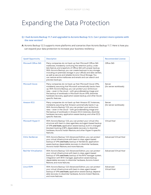# <span id="page-35-0"></span>Expanding the Data Protection

#### **Q: I had Acronis Backup 11.7 and upgraded to Acronis Backup 12.5. Can I protect more systems with the new version?**

**A:** Acronis Backup 12.5 supports more platforms and scenarios than Acronis Backup 11.7. Here is how you can expand your data protection to increase your business resiliency:

| <b>Upsell Opportunity</b>     | <b>Description</b>                                                                                                                                                                                                                                                                                                                                                                                                                                                        | <b>Recommended License</b>       |
|-------------------------------|---------------------------------------------------------------------------------------------------------------------------------------------------------------------------------------------------------------------------------------------------------------------------------------------------------------------------------------------------------------------------------------------------------------------------------------------------------------------------|----------------------------------|
| <b>Microsoft Office 365</b>   | Many companies do not back up their Microsoft Office 365<br>mailboxes, mistakenly confusing the retention policy, unde-<br>lete feature, and snapshots of Office 365 with proper backup.<br>With Acronis Backup, you can create backups to any storage,<br>including on-premises storage in your offices and data centers,<br>as well as secure and reliable Acronis Cloud Storage. You<br>can restore entire mailboxes and emails and can search and<br>preview backups. | Office 365                       |
| <b>Microsoft Azure</b>        | Many companies do not back up their Microsoft Azure VMs,<br>mistakenly assuming that Microsoft automatically backs them<br>up. With Acronis Backup, you can protect your entire busi-<br>ness – even in the cloud – with groundbreaking image and<br>file backup of workloads in Microsoft Azure VMs, dissimilar<br>hardware recovery, application-aware backup, and other Azure-<br>specific features.                                                                   | Server<br>(for server workloads) |
| <b>Amazon EC2</b>             | Many companies do not back up their Amazon EC Instances,<br>mistakenly assuming that Amazon automatically backs it up.<br>With Acronis Backup 12.5, you can protect your entire busi-<br>ness – even in the cloud – with groundbreaking image and<br>file backup of workloads in Amazon EC2 instances, dissimilar<br>hardware recovery, application-aware backup, and other EC2-<br>specific features.                                                                    | Server<br>(for server workloads) |
| <b>Microsoft Hyper-V</b>      | With Acronis Backup 12.5, you can protect your virtual infra-<br>structure with best-in-class agentless and agent-based backup<br>of VMs and hosts, application-aware backup, built-in changed-<br>blocked-tracking (CBT), dependable recovery to dissimilar<br>hardware, Acronis Instant Restore, and other Hyper-V-specific<br>features.                                                                                                                                | Virtual Host                     |
| <b>Citrix XenServer</b>       | With Acronis Backup 12.5 Advanced Edition, you can protect<br>your virtual infrastructure with best-in-class, agent-based<br>backup of VMs and hosts, backup of XenServer, application-<br>aware backup, dependable recovery to dissimilar hardware,<br>Acronis Instant Restore, and more features.                                                                                                                                                                       | <b>Advanced Virtual Host</b>     |
| <b>Red Hat Virtualization</b> | With Acronis Backup 12.5 Advanced Edition, you can protect<br>your virtual infrastructure with best-in-class, agent-based<br>backup of VMs and hosts, backup of the RHV manager system,<br>integration with RHV manager, application-aware backup,<br>dependable recovery to dissimilar hardware, Acronis Instant<br>Restore, and more features.                                                                                                                          | <b>Advanced Virtual Host</b>     |
| <b>Linux KVM</b>              | With Acronis Backup 12.5 Advanced Edition, you can protect<br>your virtual infrastructure with best-in-class, agent-based<br>backup of VMs and hosts, application-aware backup, depend-<br>able recovery to dissimilar hardware, Acronis Instant Restore,<br>and more features.                                                                                                                                                                                           | Advanced<br><b>Virtual Host</b>  |